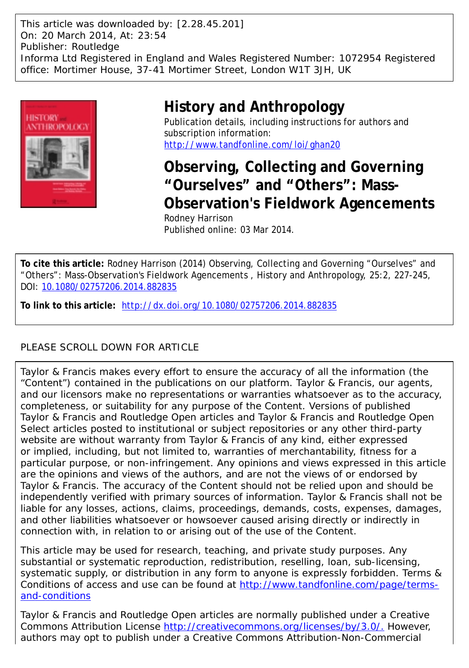This article was downloaded by: [2.28.45.201] On: 20 March 2014, At: 23:54 Publisher: Routledge Informa Ltd Registered in England and Wales Registered Number: 1072954 Registered office: Mortimer House, 37-41 Mortimer Street, London W1T 3JH, UK



## **History and Anthropology**

Publication details, including instructions for authors and subscription information: <http://www.tandfonline.com/loi/ghan20>

**Observing, Collecting and Governing "Ourselves" and "Others": Mass-Observation's Fieldwork Agencements** Rodney Harrison Published online: 03 Mar 2014.

**To cite this article:** Rodney Harrison (2014) Observing, Collecting and Governing "Ourselves" and "Others": Mass-Observation's Fieldwork Agencements , History and Anthropology, 25:2, 227-245, DOI: [10.1080/02757206.2014.882835](http://www.tandfonline.com/action/showCitFormats?doi=10.1080/02757206.2014.882835)

**To link to this article:** <http://dx.doi.org/10.1080/02757206.2014.882835>

### PLEASE SCROLL DOWN FOR ARTICLE

Taylor & Francis makes every effort to ensure the accuracy of all the information (the "Content") contained in the publications on our platform. Taylor & Francis, our agents, and our licensors make no representations or warranties whatsoever as to the accuracy, completeness, or suitability for any purpose of the Content. Versions of published Taylor & Francis and Routledge Open articles and Taylor & Francis and Routledge Open Select articles posted to institutional or subject repositories or any other third-party website are without warranty from Taylor & Francis of any kind, either expressed or implied, including, but not limited to, warranties of merchantability, fitness for a particular purpose, or non-infringement. Any opinions and views expressed in this article are the opinions and views of the authors, and are not the views of or endorsed by Taylor & Francis. The accuracy of the Content should not be relied upon and should be independently verified with primary sources of information. Taylor & Francis shall not be liable for any losses, actions, claims, proceedings, demands, costs, expenses, damages, and other liabilities whatsoever or howsoever caused arising directly or indirectly in connection with, in relation to or arising out of the use of the Content.

This article may be used for research, teaching, and private study purposes. Any substantial or systematic reproduction, redistribution, reselling, loan, sub-licensing, systematic supply, or distribution in any form to anyone is expressly forbidden. Terms & Conditions of access and use can be found at [http://www.tandfonline.com/page/terms](http://www.tandfonline.com/page/terms-and-conditions)[and-conditions](http://www.tandfonline.com/page/terms-and-conditions)

Taylor & Francis and Routledge Open articles are normally published under a Creative Commons Attribution License<http://creativecommons.org/licenses/by/3.0/.> However, authors may opt to publish under a Creative Commons Attribution-Non-Commercial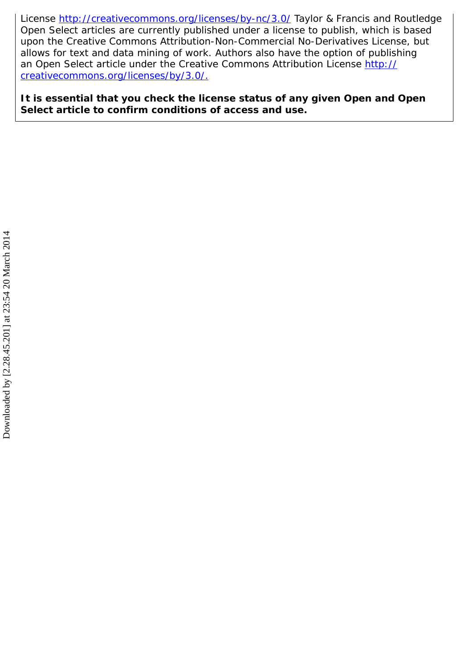License<http://creativecommons.org/licenses/by-nc/3.0/> Taylor & Francis and Routledge Open Select articles are currently published under a license to publish, which is based upon the Creative Commons Attribution-Non-Commercial No-Derivatives License, but allows for text and data mining of work. Authors also have the option of publishing an Open Select article under the Creative Commons Attribution License [http://](http://creativecommons.org/licenses/by/3.0/.) [creativecommons.org/licenses/by/3.0/.](http://creativecommons.org/licenses/by/3.0/.)

**It is essential that you check the license status of any given Open and Open Select article to confirm conditions of access and use.**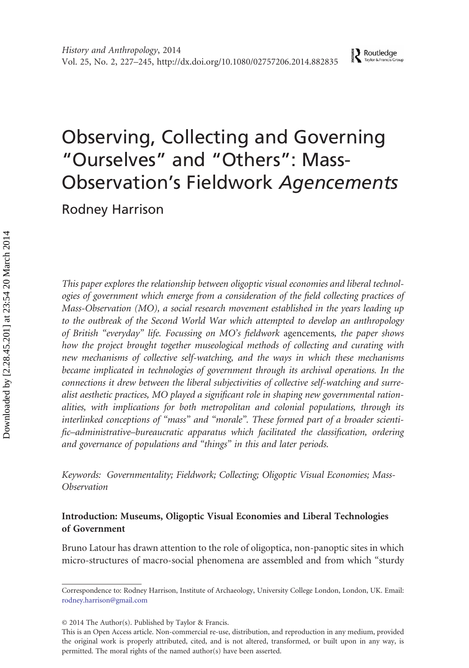# Observing, Collecting and Governing "Ourselves" and "Others": Mass-Observation's Fieldwork Agencements

Rodney Harrison

This paper explores the relationship between oligoptic visual economies and liberal technologies of government which emerge from a consideration of the field collecting practices of Mass-Observation (MO), a social research movement established in the years leading up to the outbreak of the Second World War which attempted to develop an anthropology of British "everyday" life. Focussing on MO's fieldwork agencements, the paper shows how the project brought together museological methods of collecting and curating with new mechanisms of collective self-watching, and the ways in which these mechanisms became implicated in technologies of government through its archival operations. In the connections it drew between the liberal subjectivities of collective self-watching and surrealist aesthetic practices, MO played a significant role in shaping new governmental rationalities, with implications for both metropolitan and colonial populations, through its interlinked conceptions of "mass" and "morale". These formed part of a broader scientific–administrative–bureaucratic apparatus which facilitated the classification, ordering and governance of populations and "things" in this and later periods.

Keywords: Governmentality; Fieldwork; Collecting; Oligoptic Visual Economies; Mass-**Observation** 

#### Introduction: Museums, Oligoptic Visual Economies and Liberal Technologies of Government

Bruno Latour has drawn attention to the role of oligoptica, non-panoptic sites in which micro-structures of macro-social phenomena are assembled and from which "sturdy

Correspondence to: Rodney Harrison, Institute of Archaeology, University College London, London, UK. Email: [rodney.harrison@gmail.com](mailto:rodney.harrison@gmail.com)

<sup>© 2014</sup> The Author(s). Published by Taylor & Francis.

This is an Open Access article. Non-commercial re-use, distribution, and reproduction in any medium, provided the original work is properly attributed, cited, and is not altered, transformed, or built upon in any way, is permitted. The moral rights of the named author(s) have been asserted.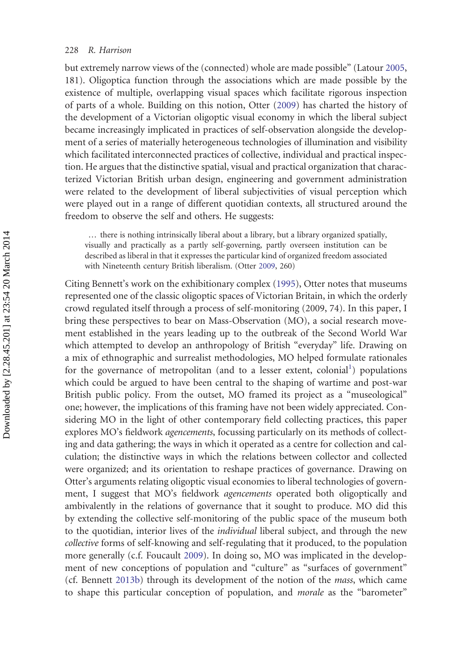but extremely narrow views of the (connected) whole are made possible" (Latour [2005,](#page-20-0) 181). Oligoptica function through the associations which are made possible by the existence of multiple, overlapping visual spaces which facilitate rigorous inspection of parts of a whole. Building on this notion, Otter [\(2009](#page-20-0)) has charted the history of the development of a Victorian oligoptic visual economy in which the liberal subject became increasingly implicated in practices of self-observation alongside the development of a series of materially heterogeneous technologies of illumination and visibility which facilitated interconnected practices of collective, individual and practical inspection. He argues that the distinctive spatial, visual and practical organization that characterized Victorian British urban design, engineering and government administration were related to the development of liberal subjectivities of visual perception which were played out in a range of different quotidian contexts, all structured around the freedom to observe the self and others. He suggests:

… there is nothing intrinsically liberal about a library, but a library organized spatially, visually and practically as a partly self-governing, partly overseen institution can be described as liberal in that it expresses the particular kind of organized freedom associated with Nineteenth century British liberalism. (Otter [2009](#page-20-0), 260)

Citing Bennett's work on the exhibitionary complex ([1995\)](#page-18-0), Otter notes that museums represented one of the classic oligoptic spaces of Victorian Britain, in which the orderly crowd regulated itself through a process of self-monitoring (2009, 74). In this paper, I bring these perspectives to bear on Mass-Observation (MO), a social research movement established in the years leading up to the outbreak of the Second World War which attempted to develop an anthropology of British "everyday" life. Drawing on a mix of ethnographic and surrealist methodologies, MO helped formulate rationales for the governance of metropolitan (and to a lesser extent, colonial<sup>[1](#page-18-0)</sup>) populations which could be argued to have been central to the shaping of wartime and post-war British public policy. From the outset, MO framed its project as a "museological" one; however, the implications of this framing have not been widely appreciated. Considering MO in the light of other contemporary field collecting practices, this paper explores MO's fieldwork agencements, focussing particularly on its methods of collecting and data gathering; the ways in which it operated as a centre for collection and calculation; the distinctive ways in which the relations between collector and collected were organized; and its orientation to reshape practices of governance. Drawing on Otter's arguments relating oligoptic visual economies to liberal technologies of government, I suggest that MO's fieldwork agencements operated both oligoptically and ambivalently in the relations of governance that it sought to produce. MO did this by extending the collective self-monitoring of the public space of the museum both to the quotidian, interior lives of the individual liberal subject, and through the new collective forms of self-knowing and self-regulating that it produced, to the population more generally (c.f. Foucault [2009\)](#page-19-0). In doing so, MO was implicated in the development of new conceptions of population and "culture" as "surfaces of government" (cf. Bennett [2013b](#page-18-0)) through its development of the notion of the mass, which came to shape this particular conception of population, and morale as the "barometer"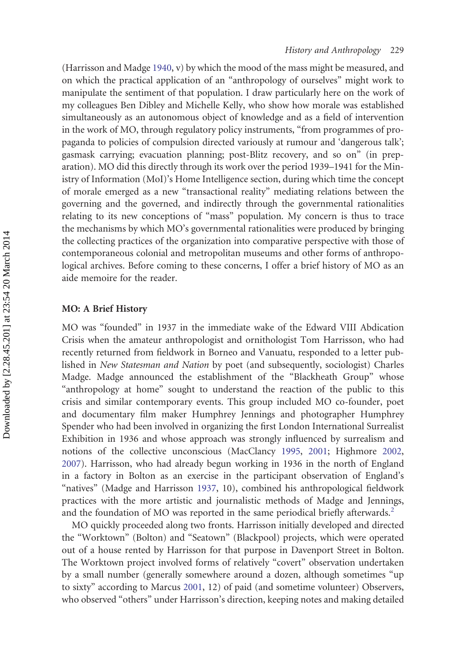(Harrisson and Madge [1940](#page-19-0), v) by which the mood of the mass might be measured, and on which the practical application of an "anthropology of ourselves" might work to manipulate the sentiment of that population. I draw particularly here on the work of my colleagues Ben Dibley and Michelle Kelly, who show how morale was established simultaneously as an autonomous object of knowledge and as a field of intervention in the work of MO, through regulatory policy instruments, "from programmes of propaganda to policies of compulsion directed variously at rumour and 'dangerous talk'; gasmask carrying; evacuation planning; post-Blitz recovery, and so on" (in preparation). MO did this directly through its work over the period 1939–1941 for the Ministry of Information (MoI)'s Home Intelligence section, during which time the concept of morale emerged as a new "transactional reality" mediating relations between the governing and the governed, and indirectly through the governmental rationalities relating to its new conceptions of "mass" population. My concern is thus to trace the mechanisms by which MO's governmental rationalities were produced by bringing the collecting practices of the organization into comparative perspective with those of contemporaneous colonial and metropolitan museums and other forms of anthropological archives. Before coming to these concerns, I offer a brief history of MO as an aide memoire for the reader.

#### MO: A Brief History

MO was "founded" in 1937 in the immediate wake of the Edward VIII Abdication Crisis when the amateur anthropologist and ornithologist Tom Harrisson, who had recently returned from fieldwork in Borneo and Vanuatu, responded to a letter published in New Statesman and Nation by poet (and subsequently, sociologist) Charles Madge. Madge announced the establishment of the "Blackheath Group" whose "anthropology at home" sought to understand the reaction of the public to this crisis and similar contemporary events. This group included MO co-founder, poet and documentary film maker Humphrey Jennings and photographer Humphrey Spender who had been involved in organizing the first London International Surrealist Exhibition in 1936 and whose approach was strongly influenced by surrealism and notions of the collective unconscious (MacClancy [1995,](#page-20-0) [2001;](#page-20-0) Highmore [2002](#page-19-0), [2007](#page-19-0)). Harrisson, who had already begun working in 1936 in the north of England in a factory in Bolton as an exercise in the participant observation of England's "natives" (Madge and Harrisson [1937](#page-20-0), 10), combined his anthropological fieldwork practices with the more artistic and journalistic methods of Madge and Jennings, and the foundation of MO was reported in the same periodical briefly afterwards.<sup>2</sup>

MO quickly proceeded along two fronts. Harrisson initially developed and directed the "Worktown" (Bolton) and "Seatown" (Blackpool) projects, which were operated out of a house rented by Harrisson for that purpose in Davenport Street in Bolton. The Worktown project involved forms of relatively "covert" observation undertaken by a small number (generally somewhere around a dozen, although sometimes "up to sixty" according to Marcus [2001,](#page-20-0) 12) of paid (and sometime volunteer) Observers, who observed "others" under Harrisson's direction, keeping notes and making detailed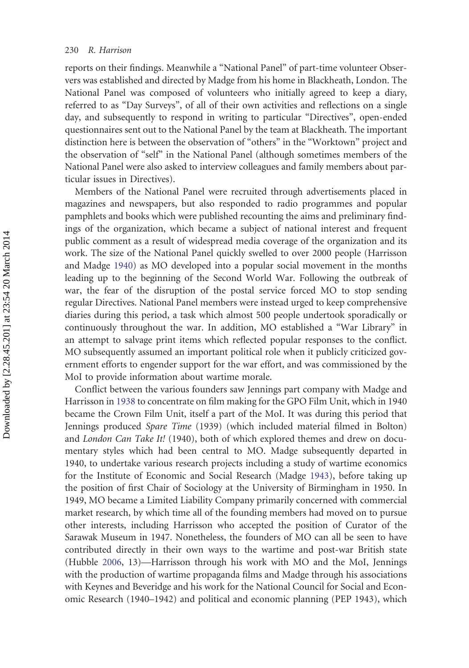reports on their findings. Meanwhile a "National Panel" of part-time volunteer Observers was established and directed by Madge from his home in Blackheath, London. The National Panel was composed of volunteers who initially agreed to keep a diary, referred to as "Day Surveys", of all of their own activities and reflections on a single day, and subsequently to respond in writing to particular "Directives", open-ended questionnaires sent out to the National Panel by the team at Blackheath. The important distinction here is between the observation of "others" in the "Worktown" project and the observation of "self" in the National Panel (although sometimes members of the National Panel were also asked to interview colleagues and family members about particular issues in Directives).

Members of the National Panel were recruited through advertisements placed in magazines and newspapers, but also responded to radio programmes and popular pamphlets and books which were published recounting the aims and preliminary findings of the organization, which became a subject of national interest and frequent public comment as a result of widespread media coverage of the organization and its work. The size of the National Panel quickly swelled to over 2000 people (Harrisson and Madge [1940\)](#page-19-0) as MO developed into a popular social movement in the months leading up to the beginning of the Second World War. Following the outbreak of war, the fear of the disruption of the postal service forced MO to stop sending regular Directives. National Panel members were instead urged to keep comprehensive diaries during this period, a task which almost 500 people undertook sporadically or continuously throughout the war. In addition, MO established a "War Library" in an attempt to salvage print items which reflected popular responses to the conflict. MO subsequently assumed an important political role when it publicly criticized government efforts to engender support for the war effort, and was commissioned by the MoI to provide information about wartime morale.

Conflict between the various founders saw Jennings part company with Madge and Harrisson in [1938](#page-20-0) to concentrate on film making for the GPO Film Unit, which in 1940 became the Crown Film Unit, itself a part of the MoI. It was during this period that Jennings produced Spare Time (1939) (which included material filmed in Bolton) and London Can Take It! (1940), both of which explored themes and drew on documentary styles which had been central to MO. Madge subsequently departed in 1940, to undertake various research projects including a study of wartime economics for the Institute of Economic and Social Research (Madge [1943](#page-20-0)), before taking up the position of first Chair of Sociology at the University of Birmingham in 1950. In 1949, MO became a Limited Liability Company primarily concerned with commercial market research, by which time all of the founding members had moved on to pursue other interests, including Harrisson who accepted the position of Curator of the Sarawak Museum in 1947. Nonetheless, the founders of MO can all be seen to have contributed directly in their own ways to the wartime and post-war British state (Hubble [2006,](#page-19-0) 13)—Harrisson through his work with MO and the MoI, Jennings with the production of wartime propaganda films and Madge through his associations with Keynes and Beveridge and his work for the National Council for Social and Economic Research (1940–1942) and political and economic planning (PEP 1943), which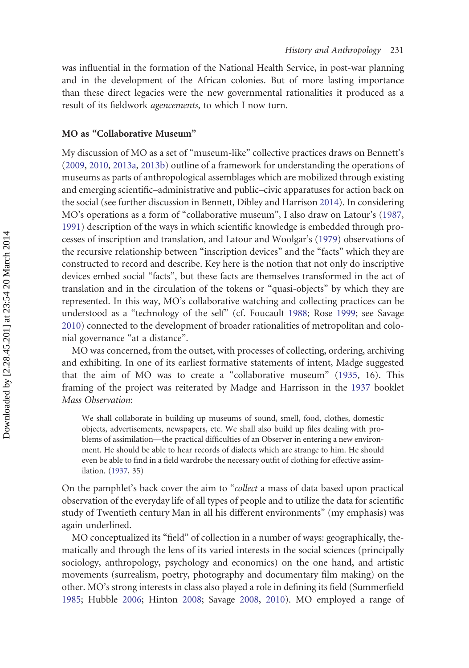was influential in the formation of the National Health Service, in post-war planning and in the development of the African colonies. But of more lasting importance than these direct legacies were the new governmental rationalities it produced as a result of its fieldwork agencements, to which I now turn.

#### MO as "Collaborative Museum"

My discussion of MO as a set of "museum-like" collective practices draws on Bennett's ([2009,](#page-18-0) [2010,](#page-18-0) [2013a](#page-18-0), [2013b\)](#page-18-0) outline of a framework for understanding the operations of museums as parts of anthropological assemblages which are mobilized through existing and emerging scientific–administrative and public–civic apparatuses for action back on the social (see further discussion in Bennett, Dibley and Harrison [2014](#page-18-0)). In considering MO's operations as a form of "collaborative museum", I also draw on Latour's [\(1987](#page-19-0), [1991](#page-20-0)) description of the ways in which scientific knowledge is embedded through processes of inscription and translation, and Latour and Woolgar's [\(1979](#page-20-0)) observations of the recursive relationship between "inscription devices" and the "facts" which they are constructed to record and describe. Key here is the notion that not only do inscriptive devices embed social "facts", but these facts are themselves transformed in the act of translation and in the circulation of the tokens or "quasi-objects" by which they are represented. In this way, MO's collaborative watching and collecting practices can be understood as a "technology of the self" (cf. Foucault [1988](#page-19-0); Rose [1999](#page-20-0); see Savage [2010](#page-20-0)) connected to the development of broader rationalities of metropolitan and colonial governance "at a distance".

MO was concerned, from the outset, with processes of collecting, ordering, archiving and exhibiting. In one of its earliest formative statements of intent, Madge suggested that the aim of MO was to create a "collaborative museum" ([1935,](#page-20-0) 16). This framing of the project was reiterated by Madge and Harrisson in the [1937](#page-20-0) booklet Mass Observation:

We shall collaborate in building up museums of sound, smell, food, clothes, domestic objects, advertisements, newspapers, etc. We shall also build up files dealing with problems of assimilation—the practical difficulties of an Observer in entering a new environment. He should be able to hear records of dialects which are strange to him. He should even be able to find in a field wardrobe the necessary outfit of clothing for effective assimilation. [\(1937](#page-20-0), 35)

On the pamphlet's back cover the aim to "collect a mass of data based upon practical observation of the everyday life of all types of people and to utilize the data for scientific study of Twentieth century Man in all his different environments" (my emphasis) was again underlined.

MO conceptualized its "field" of collection in a number of ways: geographically, thematically and through the lens of its varied interests in the social sciences (principally sociology, anthropology, psychology and economics) on the one hand, and artistic movements (surrealism, poetry, photography and documentary film making) on the other. MO's strong interests in class also played a role in defining its field (Summerfield [1985](#page-20-0); Hubble [2006;](#page-19-0) Hinton [2008](#page-19-0); Savage [2008](#page-20-0), [2010\)](#page-20-0). MO employed a range of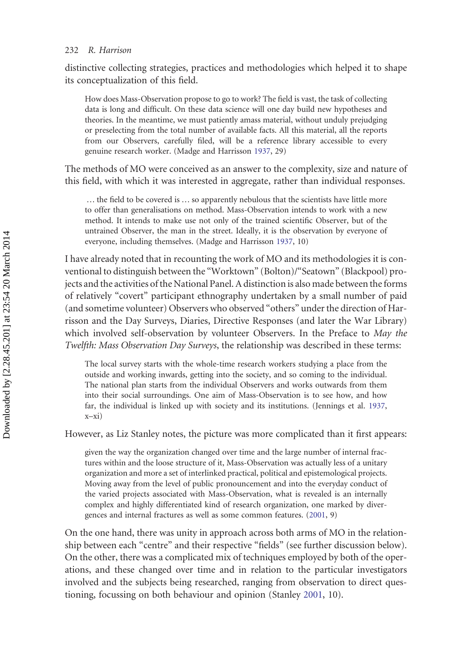distinctive collecting strategies, practices and methodologies which helped it to shape its conceptualization of this field.

How does Mass-Observation propose to go to work? The field is vast, the task of collecting data is long and difficult. On these data science will one day build new hypotheses and theories. In the meantime, we must patiently amass material, without unduly prejudging or preselecting from the total number of available facts. All this material, all the reports from our Observers, carefully filed, will be a reference library accessible to every genuine research worker. (Madge and Harrisson [1937,](#page-20-0) 29)

The methods of MO were conceived as an answer to the complexity, size and nature of this field, with which it was interested in aggregate, rather than individual responses.

… the field to be covered is … so apparently nebulous that the scientists have little more to offer than generalisations on method. Mass-Observation intends to work with a new method. It intends to make use not only of the trained scientific Observer, but of the untrained Observer, the man in the street. Ideally, it is the observation by everyone of everyone, including themselves. (Madge and Harrisson [1937,](#page-20-0) 10)

I have already noted that in recounting the work of MO and its methodologies it is conventional to distinguish between the "Worktown" (Bolton)/"Seatown" (Blackpool) projects and the activities of the National Panel. A distinction is also made between the forms of relatively "covert" participant ethnography undertaken by a small number of paid (and sometime volunteer) Observers who observed "others" under the direction of Harrisson and the Day Surveys, Diaries, Directive Responses (and later the War Library) which involved self-observation by volunteer Observers. In the Preface to May the Twelfth: Mass Observation Day Surveys, the relationship was described in these terms:

The local survey starts with the whole-time research workers studying a place from the outside and working inwards, getting into the society, and so coming to the individual. The national plan starts from the individual Observers and works outwards from them into their social surroundings. One aim of Mass-Observation is to see how, and how far, the individual is linked up with society and its institutions. (Jennings et al. [1937](#page-19-0), x–xi)

However, as Liz Stanley notes, the picture was more complicated than it first appears:

given the way the organization changed over time and the large number of internal fractures within and the loose structure of it, Mass-Observation was actually less of a unitary organization and more a set of interlinked practical, political and epistemological projects. Moving away from the level of public pronouncement and into the everyday conduct of the varied projects associated with Mass-Observation, what is revealed is an internally complex and highly differentiated kind of research organization, one marked by divergences and internal fractures as well as some common features. [\(2001,](#page-20-0) 9)

On the one hand, there was unity in approach across both arms of MO in the relationship between each "centre" and their respective "fields" (see further discussion below). On the other, there was a complicated mix of techniques employed by both of the operations, and these changed over time and in relation to the particular investigators involved and the subjects being researched, ranging from observation to direct questioning, focussing on both behaviour and opinion (Stanley [2001](#page-20-0), 10).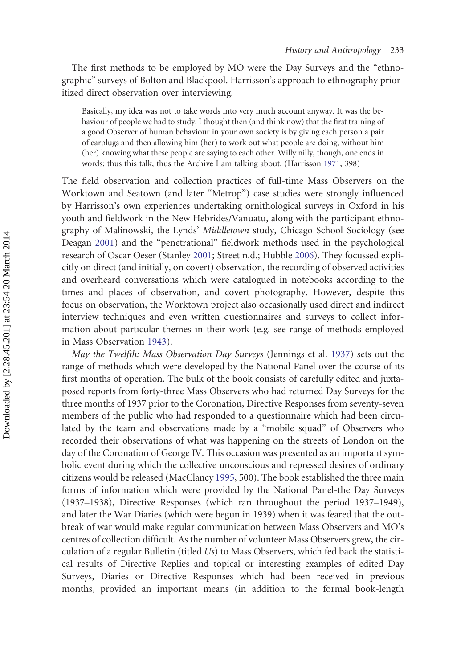The first methods to be employed by MO were the Day Surveys and the "ethnographic" surveys of Bolton and Blackpool. Harrisson's approach to ethnography prioritized direct observation over interviewing.

Basically, my idea was not to take words into very much account anyway. It was the behaviour of people we had to study. I thought then (and think now) that the first training of a good Observer of human behaviour in your own society is by giving each person a pair of earplugs and then allowing him (her) to work out what people are doing, without him (her) knowing what these people are saying to each other. Willy nilly, though, one ends in words: thus this talk, thus the Archive I am talking about. (Harrisson [1971,](#page-19-0) 398)

The field observation and collection practices of full-time Mass Observers on the Worktown and Seatown (and later "Metrop") case studies were strongly influenced by Harrisson's own experiences undertaking ornithological surveys in Oxford in his youth and fieldwork in the New Hebrides/Vanuatu, along with the participant ethnography of Malinowski, the Lynds' Middletown study, Chicago School Sociology (see Deagan [2001](#page-19-0)) and the "penetrational" fieldwork methods used in the psychological research of Oscar Oeser (Stanley [2001](#page-20-0); Street n.d.; Hubble [2006](#page-19-0)). They focussed explicitly on direct (and initially, on covert) observation, the recording of observed activities and overheard conversations which were catalogued in notebooks according to the times and places of observation, and covert photography. However, despite this focus on observation, the Worktown project also occasionally used direct and indirect interview techniques and even written questionnaires and surveys to collect information about particular themes in their work (e.g. see range of methods employed in Mass Observation [1943](#page-20-0)).

May the Twelfth: Mass Observation Day Surveys (Jennings et al. [1937](#page-19-0)) sets out the range of methods which were developed by the National Panel over the course of its first months of operation. The bulk of the book consists of carefully edited and juxtaposed reports from forty-three Mass Observers who had returned Day Surveys for the three months of 1937 prior to the Coronation, Directive Responses from seventy-seven members of the public who had responded to a questionnaire which had been circulated by the team and observations made by a "mobile squad" of Observers who recorded their observations of what was happening on the streets of London on the day of the Coronation of George IV. This occasion was presented as an important symbolic event during which the collective unconscious and repressed desires of ordinary citizens would be released (MacClancy [1995,](#page-20-0) 500). The book established the three main forms of information which were provided by the National Panel-the Day Surveys (1937–1938), Directive Responses (which ran throughout the period 1937–1949), and later the War Diaries (which were begun in 1939) when it was feared that the outbreak of war would make regular communication between Mass Observers and MO's centres of collection difficult. As the number of volunteer Mass Observers grew, the circulation of a regular Bulletin (titled Us) to Mass Observers, which fed back the statistical results of Directive Replies and topical or interesting examples of edited Day Surveys, Diaries or Directive Responses which had been received in previous months, provided an important means (in addition to the formal book-length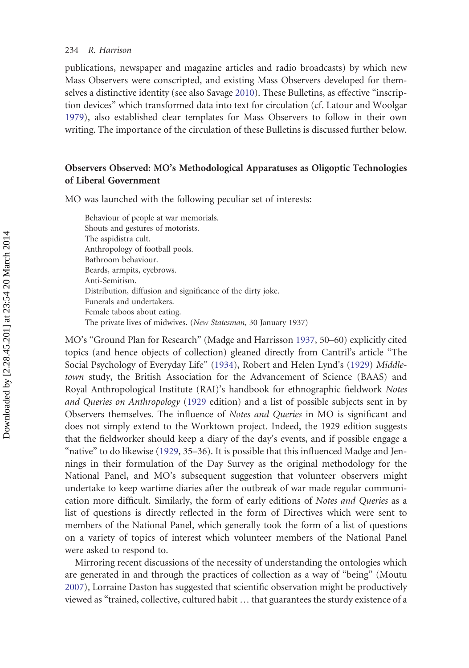publications, newspaper and magazine articles and radio broadcasts) by which new Mass Observers were conscripted, and existing Mass Observers developed for themselves a distinctive identity (see also Savage [2010\)](#page-20-0). These Bulletins, as effective "inscription devices" which transformed data into text for circulation (cf. Latour and Woolgar [1979](#page-20-0)), also established clear templates for Mass Observers to follow in their own writing. The importance of the circulation of these Bulletins is discussed further below.

#### Observers Observed: MO's Methodological Apparatuses as Oligoptic Technologies of Liberal Government

MO was launched with the following peculiar set of interests:

Behaviour of people at war memorials. Shouts and gestures of motorists. The aspidistra cult. Anthropology of football pools. Bathroom behaviour. Beards, armpits, eyebrows. Anti-Semitism. Distribution, diffusion and significance of the dirty joke. Funerals and undertakers. Female taboos about eating. The private lives of midwives. (New Statesman, 30 January 1937)

MO's "Ground Plan for Research" (Madge and Harrisson [1937](#page-20-0), 50–60) explicitly cited topics (and hence objects of collection) gleaned directly from Cantril's article "The Social Psychology of Everyday Life" ([1934\)](#page-18-0), Robert and Helen Lynd's ([1929\)](#page-20-0) Middletown study, the British Association for the Advancement of Science (BAAS) and Royal Anthropological Institute (RAI)'s handbook for ethnographic fieldwork Notes and Queries on Anthropology ([1929](#page-18-0) edition) and a list of possible subjects sent in by Observers themselves. The influence of Notes and Queries in MO is significant and does not simply extend to the Worktown project. Indeed, the 1929 edition suggests that the fieldworker should keep a diary of the day's events, and if possible engage a "native" to do likewise ([1929,](#page-18-0) 35–36). It is possible that this influenced Madge and Jennings in their formulation of the Day Survey as the original methodology for the National Panel, and MO's subsequent suggestion that volunteer observers might undertake to keep wartime diaries after the outbreak of war made regular communication more difficult. Similarly, the form of early editions of Notes and Queries as a list of questions is directly reflected in the form of Directives which were sent to members of the National Panel, which generally took the form of a list of questions on a variety of topics of interest which volunteer members of the National Panel were asked to respond to.

Mirroring recent discussions of the necessity of understanding the ontologies which are generated in and through the practices of collection as a way of "being" (Moutu [2007](#page-20-0)), Lorraine Daston has suggested that scientific observation might be productively viewed as "trained, collective, cultured habit … that guarantees the sturdy existence of a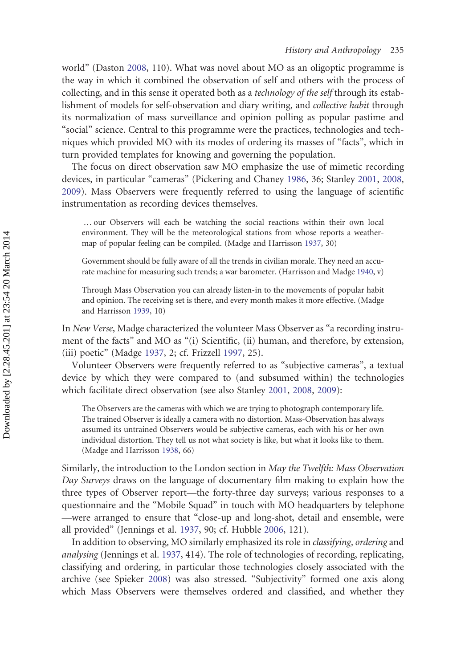world" (Daston [2008,](#page-19-0) 110). What was novel about MO as an oligoptic programme is the way in which it combined the observation of self and others with the process of collecting, and in this sense it operated both as a technology of the self through its establishment of models for self-observation and diary writing, and collective habit through its normalization of mass surveillance and opinion polling as popular pastime and "social" science. Central to this programme were the practices, technologies and techniques which provided MO with its modes of ordering its masses of "facts", which in turn provided templates for knowing and governing the population.

The focus on direct observation saw MO emphasize the use of mimetic recording devices, in particular "cameras" (Pickering and Chaney [1986,](#page-20-0) 36; Stanley [2001,](#page-20-0) [2008](#page-20-0), [2009](#page-20-0)). Mass Observers were frequently referred to using the language of scientific instrumentation as recording devices themselves.

… our Observers will each be watching the social reactions within their own local environment. They will be the meteorological stations from whose reports a weathermap of popular feeling can be compiled. (Madge and Harrisson [1937,](#page-20-0) 30)

Government should be fully aware of all the trends in civilian morale. They need an accurate machine for measuring such trends; a war barometer. (Harrisson and Madge [1940,](#page-19-0) v)

Through Mass Observation you can already listen-in to the movements of popular habit and opinion. The receiving set is there, and every month makes it more effective. (Madge and Harrisson [1939](#page-20-0), 10)

In New Verse, Madge characterized the volunteer Mass Observer as "a recording instrument of the facts" and MO as "(i) Scientific, (ii) human, and therefore, by extension, (iii) poetic" (Madge [1937](#page-20-0), 2; cf. Frizzell [1997](#page-19-0), 25).

Volunteer Observers were frequently referred to as "subjective cameras", a textual device by which they were compared to (and subsumed within) the technologies which facilitate direct observation (see also Stanley [2001](#page-20-0), [2008](#page-20-0), [2009\)](#page-20-0):

The Observers are the cameras with which we are trying to photograph contemporary life. The trained Observer is ideally a camera with no distortion. Mass-Observation has always assumed its untrained Observers would be subjective cameras, each with his or her own individual distortion. They tell us not what society is like, but what it looks like to them. (Madge and Harrisson [1938,](#page-20-0) 66)

Similarly, the introduction to the London section in May the Twelfth: Mass Observation Day Surveys draws on the language of documentary film making to explain how the three types of Observer report—the forty-three day surveys; various responses to a questionnaire and the "Mobile Squad" in touch with MO headquarters by telephone —were arranged to ensure that "close-up and long-shot, detail and ensemble, were all provided" (Jennings et al. [1937](#page-19-0), 90; cf. Hubble [2006](#page-19-0), 121).

In addition to observing, MO similarly emphasized its role in *classifying*, ordering and analysing (Jennings et al. [1937](#page-19-0), 414). The role of technologies of recording, replicating, classifying and ordering, in particular those technologies closely associated with the archive (see Spieker [2008](#page-20-0)) was also stressed. "Subjectivity" formed one axis along which Mass Observers were themselves ordered and classified, and whether they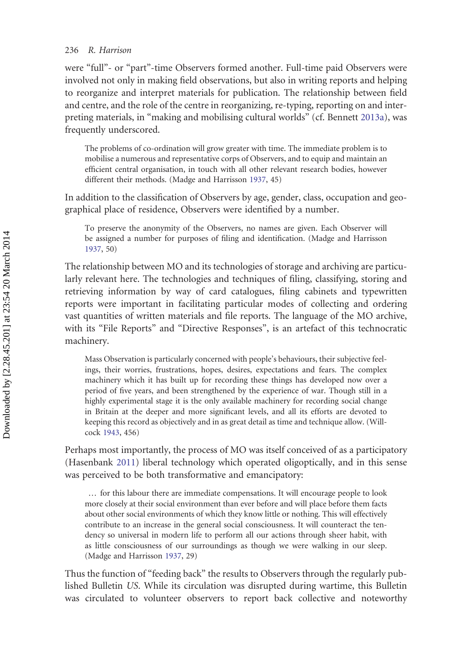were "full"- or "part"-time Observers formed another. Full-time paid Observers were involved not only in making field observations, but also in writing reports and helping to reorganize and interpret materials for publication. The relationship between field and centre, and the role of the centre in reorganizing, re-typing, reporting on and interpreting materials, in "making and mobilising cultural worlds" (cf. Bennett [2013a](#page-18-0)), was frequently underscored.

The problems of co-ordination will grow greater with time. The immediate problem is to mobilise a numerous and representative corps of Observers, and to equip and maintain an efficient central organisation, in touch with all other relevant research bodies, however different their methods. (Madge and Harrisson [1937,](#page-20-0) 45)

In addition to the classification of Observers by age, gender, class, occupation and geographical place of residence, Observers were identified by a number.

To preserve the anonymity of the Observers, no names are given. Each Observer will be assigned a number for purposes of filing and identification. (Madge and Harrisson [1937](#page-20-0), 50)

The relationship between MO and its technologies of storage and archiving are particularly relevant here. The technologies and techniques of filing, classifying, storing and retrieving information by way of card catalogues, filing cabinets and typewritten reports were important in facilitating particular modes of collecting and ordering vast quantities of written materials and file reports. The language of the MO archive, with its "File Reports" and "Directive Responses", is an artefact of this technocratic machinery.

Mass Observation is particularly concerned with people's behaviours, their subjective feelings, their worries, frustrations, hopes, desires, expectations and fears. The complex machinery which it has built up for recording these things has developed now over a period of five years, and been strengthened by the experience of war. Though still in a highly experimental stage it is the only available machinery for recording social change in Britain at the deeper and more significant levels, and all its efforts are devoted to keeping this record as objectively and in as great detail as time and technique allow. (Willcock [1943,](#page-20-0) 456)

Perhaps most importantly, the process of MO was itself conceived of as a participatory (Hasenbank [2011\)](#page-19-0) liberal technology which operated oligoptically, and in this sense was perceived to be both transformative and emancipatory:

… for this labour there are immediate compensations. It will encourage people to look more closely at their social environment than ever before and will place before them facts about other social environments of which they know little or nothing. This will effectively contribute to an increase in the general social consciousness. It will counteract the tendency so universal in modern life to perform all our actions through sheer habit, with as little consciousness of our surroundings as though we were walking in our sleep. (Madge and Harrisson [1937,](#page-20-0) 29)

Thus the function of "feeding back" the results to Observers through the regularly published Bulletin US. While its circulation was disrupted during wartime, this Bulletin was circulated to volunteer observers to report back collective and noteworthy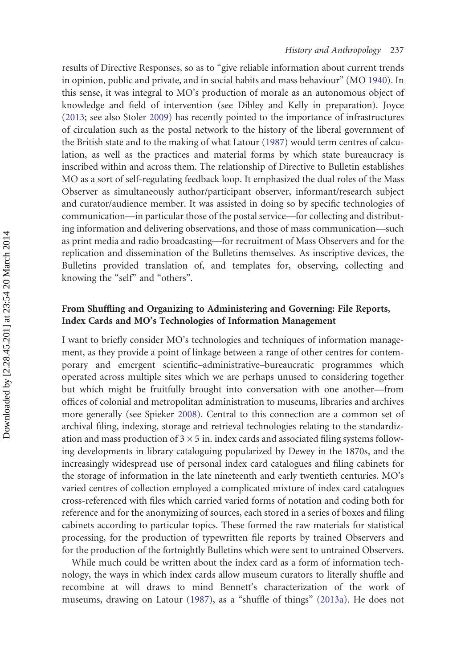results of Directive Responses, so as to "give reliable information about current trends in opinion, public and private, and in social habits and mass behaviour" (MO [1940](#page-20-0)). In this sense, it was integral to MO's production of morale as an autonomous object of knowledge and field of intervention (see Dibley and Kelly in preparation). Joyce ([2013;](#page-19-0) see also Stoler [2009](#page-20-0)) has recently pointed to the importance of infrastructures of circulation such as the postal network to the history of the liberal government of the British state and to the making of what Latour [\(1987](#page-19-0)) would term centres of calculation, as well as the practices and material forms by which state bureaucracy is inscribed within and across them. The relationship of Directive to Bulletin establishes MO as a sort of self-regulating feedback loop. It emphasized the dual roles of the Mass Observer as simultaneously author/participant observer, informant/research subject and curator/audience member. It was assisted in doing so by specific technologies of communication—in particular those of the postal service—for collecting and distributing information and delivering observations, and those of mass communication—such as print media and radio broadcasting—for recruitment of Mass Observers and for the replication and dissemination of the Bulletins themselves. As inscriptive devices, the Bulletins provided translation of, and templates for, observing, collecting and knowing the "self" and "others".

#### From Shuffling and Organizing to Administering and Governing: File Reports, Index Cards and MO's Technologies of Information Management

I want to briefly consider MO's technologies and techniques of information management, as they provide a point of linkage between a range of other centres for contemporary and emergent scientific–administrative–bureaucratic programmes which operated across multiple sites which we are perhaps unused to considering together but which might be fruitfully brought into conversation with one another—from offices of colonial and metropolitan administration to museums, libraries and archives more generally (see Spieker [2008](#page-20-0)). Central to this connection are a common set of archival filing, indexing, storage and retrieval technologies relating to the standardization and mass production of  $3 \times 5$  in. index cards and associated filing systems following developments in library cataloguing popularized by Dewey in the 1870s, and the increasingly widespread use of personal index card catalogues and filing cabinets for the storage of information in the late nineteenth and early twentieth centuries. MO's varied centres of collection employed a complicated mixture of index card catalogues cross-referenced with files which carried varied forms of notation and coding both for reference and for the anonymizing of sources, each stored in a series of boxes and filing cabinets according to particular topics. These formed the raw materials for statistical processing, for the production of typewritten file reports by trained Observers and for the production of the fortnightly Bulletins which were sent to untrained Observers.

While much could be written about the index card as a form of information technology, the ways in which index cards allow museum curators to literally shuffle and recombine at will draws to mind Bennett's characterization of the work of museums, drawing on Latour ([1987\)](#page-19-0), as a "shuffle of things" [\(2013a\)](#page-18-0). He does not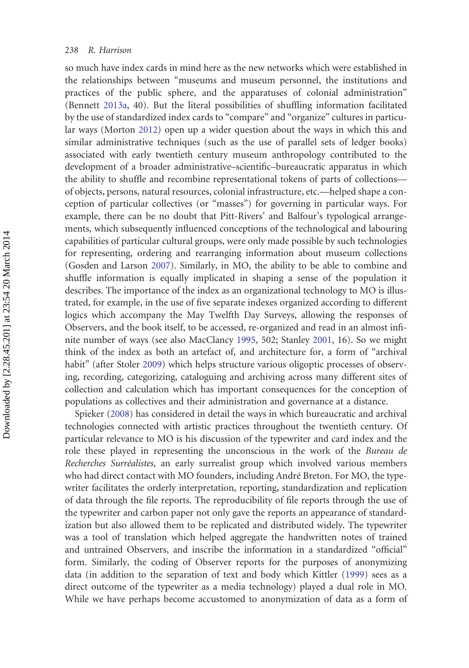so much have index cards in mind here as the new networks which were established in the relationships between "museums and museum personnel, the institutions and practices of the public sphere, and the apparatuses of colonial administration" (Bennett [2013a,](#page-18-0) 40). But the literal possibilities of shuffling information facilitated by the use of standardized index cards to "compare" and "organize" cultures in particular ways (Morton [2012\)](#page-20-0) open up a wider question about the ways in which this and similar administrative techniques (such as the use of parallel sets of ledger books) associated with early twentieth century museum anthropology contributed to the development of a broader administrative–scientific–bureaucratic apparatus in which the ability to shuffle and recombine representational tokens of parts of collections of objects, persons, natural resources, colonial infrastructure, etc.—helped shape a conception of particular collectives (or "masses") for governing in particular ways. For example, there can be no doubt that Pitt-Rivers' and Balfour's typological arrangements, which subsequently influenced conceptions of the technological and labouring capabilities of particular cultural groups, were only made possible by such technologies for representing, ordering and rearranging information about museum collections (Gosden and Larson [2007](#page-19-0)). Similarly, in MO, the ability to be able to combine and shuffle information is equally implicated in shaping a sense of the population it describes. The importance of the index as an organizational technology to MO is illustrated, for example, in the use of five separate indexes organized according to different logics which accompany the May Twelfth Day Surveys, allowing the responses of Observers, and the book itself, to be accessed, re-organized and read in an almost infinite number of ways (see also MacClancy [1995,](#page-20-0) 502; Stanley [2001](#page-20-0), 16). So we might think of the index as both an artefact of, and architecture for, a form of "archival habit" (after Stoler [2009](#page-20-0)) which helps structure various oligoptic processes of observing, recording, categorizing, cataloguing and archiving across many different sites of collection and calculation which has important consequences for the conception of populations as collectives and their administration and governance at a distance.

Spieker [\(2008](#page-20-0)) has considered in detail the ways in which bureaucratic and archival technologies connected with artistic practices throughout the twentieth century. Of particular relevance to MO is his discussion of the typewriter and card index and the role these played in representing the unconscious in the work of the Bureau de Recherches Surréalistes, an early surrealist group which involved various members who had direct contact with MO founders, including André Breton. For MO, the typewriter facilitates the orderly interpretation, reporting, standardization and replication of data through the file reports. The reproducibility of file reports through the use of the typewriter and carbon paper not only gave the reports an appearance of standardization but also allowed them to be replicated and distributed widely. The typewriter was a tool of translation which helped aggregate the handwritten notes of trained and untrained Observers, and inscribe the information in a standardized "official" form. Similarly, the coding of Observer reports for the purposes of anonymizing data (in addition to the separation of text and body which Kittler [\(1999](#page-19-0)) sees as a direct outcome of the typewriter as a media technology) played a dual role in MO. While we have perhaps become accustomed to anonymization of data as a form of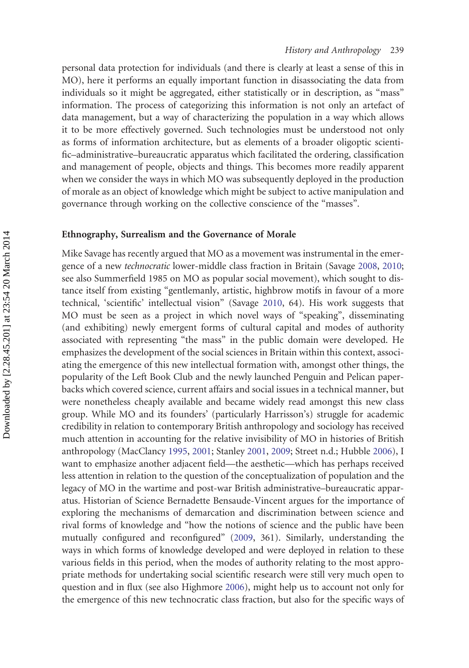personal data protection for individuals (and there is clearly at least a sense of this in MO), here it performs an equally important function in disassociating the data from individuals so it might be aggregated, either statistically or in description, as "mass" information. The process of categorizing this information is not only an artefact of data management, but a way of characterizing the population in a way which allows it to be more effectively governed. Such technologies must be understood not only as forms of information architecture, but as elements of a broader oligoptic scientific–administrative–bureaucratic apparatus which facilitated the ordering, classification and management of people, objects and things. This becomes more readily apparent when we consider the ways in which MO was subsequently deployed in the production of morale as an object of knowledge which might be subject to active manipulation and governance through working on the collective conscience of the "masses".

#### Ethnography, Surrealism and the Governance of Morale

Mike Savage has recently argued that MO as a movement was instrumental in the emergence of a new technocratic lower-middle class fraction in Britain (Savage [2008,](#page-20-0) [2010](#page-20-0); see also Summerfield 1985 on MO as popular social movement), which sought to distance itself from existing "gentlemanly, artistic, highbrow motifs in favour of a more technical, 'scientific' intellectual vision" (Savage [2010,](#page-20-0) 64). His work suggests that MO must be seen as a project in which novel ways of "speaking", disseminating (and exhibiting) newly emergent forms of cultural capital and modes of authority associated with representing "the mass" in the public domain were developed. He emphasizes the development of the social sciences in Britain within this context, associating the emergence of this new intellectual formation with, amongst other things, the popularity of the Left Book Club and the newly launched Penguin and Pelican paperbacks which covered science, current affairs and social issues in a technical manner, but were nonetheless cheaply available and became widely read amongst this new class group. While MO and its founders' (particularly Harrisson's) struggle for academic credibility in relation to contemporary British anthropology and sociology has received much attention in accounting for the relative invisibility of MO in histories of British anthropology (MacClancy [1995](#page-20-0), [2001](#page-20-0); Stanley [2001](#page-20-0), [2009](#page-20-0); Street n.d.; Hubble [2006](#page-19-0)), I want to emphasize another adjacent field—the aesthetic—which has perhaps received less attention in relation to the question of the conceptualization of population and the legacy of MO in the wartime and post-war British administrative–bureaucratic apparatus. Historian of Science Bernadette Bensaude-Vincent argues for the importance of exploring the mechanisms of demarcation and discrimination between science and rival forms of knowledge and "how the notions of science and the public have been mutually configured and reconfigured" [\(2009](#page-18-0), 361). Similarly, understanding the ways in which forms of knowledge developed and were deployed in relation to these various fields in this period, when the modes of authority relating to the most appropriate methods for undertaking social scientific research were still very much open to question and in flux (see also Highmore [2006](#page-19-0)), might help us to account not only for the emergence of this new technocratic class fraction, but also for the specific ways of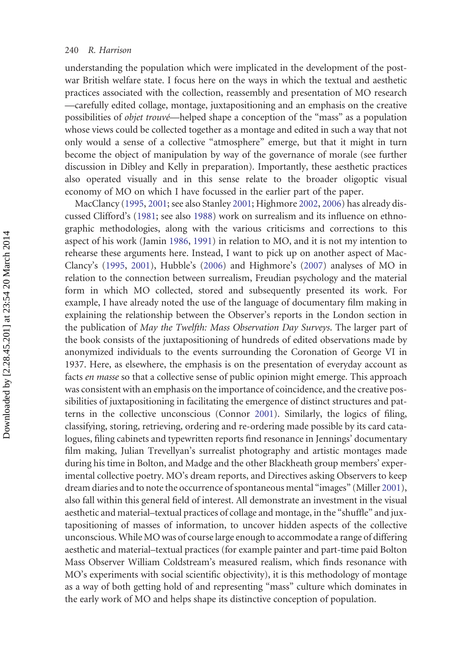understanding the population which were implicated in the development of the postwar British welfare state. I focus here on the ways in which the textual and aesthetic practices associated with the collection, reassembly and presentation of MO research —carefully edited collage, montage, juxtapositioning and an emphasis on the creative possibilities of objet trouvé—helped shape a conception of the "mass" as a population whose views could be collected together as a montage and edited in such a way that not only would a sense of a collective "atmosphere" emerge, but that it might in turn become the object of manipulation by way of the governance of morale (see further discussion in Dibley and Kelly in preparation). Importantly, these aesthetic practices also operated visually and in this sense relate to the broader oligoptic visual economy of MO on which I have focussed in the earlier part of the paper.

MacClancy [\(1995](#page-20-0), [2001;](#page-20-0) see also Stanley [2001;](#page-20-0) Highmore [2002,](#page-19-0) [2006](#page-19-0)) has already discussed Clifford's ([1981](#page-18-0); see also [1988\)](#page-18-0) work on surrealism and its influence on ethnographic methodologies, along with the various criticisms and corrections to this aspect of his work (Jamin [1986](#page-19-0), [1991](#page-19-0)) in relation to MO, and it is not my intention to rehearse these arguments here. Instead, I want to pick up on another aspect of Mac-Clancy's [\(1995](#page-20-0), [2001](#page-20-0)), Hubble's [\(2006](#page-19-0)) and Highmore's ([2007\)](#page-19-0) analyses of MO in relation to the connection between surrealism, Freudian psychology and the material form in which MO collected, stored and subsequently presented its work. For example, I have already noted the use of the language of documentary film making in explaining the relationship between the Observer's reports in the London section in the publication of May the Twelfth: Mass Observation Day Surveys. The larger part of the book consists of the juxtapositioning of hundreds of edited observations made by anonymized individuals to the events surrounding the Coronation of George VI in 1937. Here, as elsewhere, the emphasis is on the presentation of everyday account as facts en masse so that a collective sense of public opinion might emerge. This approach was consistent with an emphasis on the importance of coincidence, and the creative possibilities of juxtapositioning in facilitating the emergence of distinct structures and patterns in the collective unconscious (Connor [2001](#page-18-0)). Similarly, the logics of filing, classifying, storing, retrieving, ordering and re-ordering made possible by its card catalogues, filing cabinets and typewritten reports find resonance in Jennings' documentary film making, Julian Trevellyan's surrealist photography and artistic montages made during his time in Bolton, and Madge and the other Blackheath group members' experimental collective poetry. MO's dream reports, and Directives asking Observers to keep dream diaries and to note the occurrence of spontaneous mental "images" (Miller [2001\)](#page-20-0), also fall within this general field of interest. All demonstrate an investment in the visual aesthetic and material–textual practices of collage and montage, in the "shuffle" and juxtapositioning of masses of information, to uncover hidden aspects of the collective unconscious. While MO was of course large enough to accommodate a range of differing aesthetic and material–textual practices (for example painter and part-time paid Bolton Mass Observer William Coldstream's measured realism, which finds resonance with MO's experiments with social scientific objectivity), it is this methodology of montage as a way of both getting hold of and representing "mass" culture which dominates in the early work of MO and helps shape its distinctive conception of population.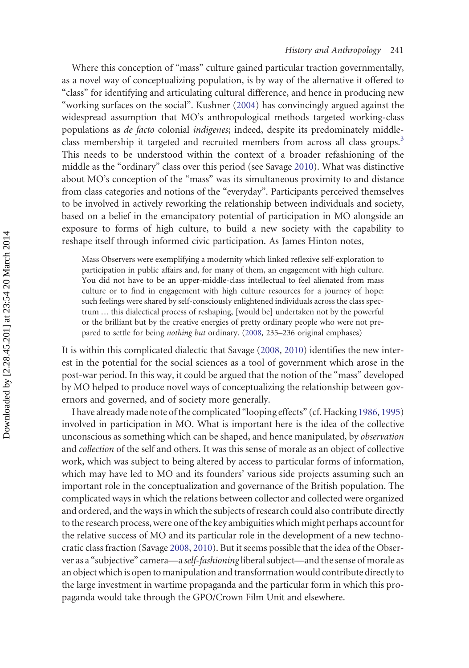Where this conception of "mass" culture gained particular traction governmentally, as a novel way of conceptualizing population, is by way of the alternative it offered to "class" for identifying and articulating cultural difference, and hence in producing new "working surfaces on the social". Kushner ([2004\)](#page-19-0) has convincingly argued against the widespread assumption that MO's anthropological methods targeted working-class populations as de facto colonial indigenes; indeed, despite its predominately middleclass membership it targeted and recruited members from across all class groups.<sup>3</sup> This needs to be understood within the context of a broader refashioning of the middle as the "ordinary" class over this period (see Savage [2010\)](#page-20-0). What was distinctive about MO's conception of the "mass" was its simultaneous proximity to and distance from class categories and notions of the "everyday". Participants perceived themselves to be involved in actively reworking the relationship between individuals and society, based on a belief in the emancipatory potential of participation in MO alongside an exposure to forms of high culture, to build a new society with the capability to reshape itself through informed civic participation. As James Hinton notes,

Mass Observers were exemplifying a modernity which linked reflexive self-exploration to participation in public affairs and, for many of them, an engagement with high culture. You did not have to be an upper-middle-class intellectual to feel alienated from mass culture or to find in engagement with high culture resources for a journey of hope: such feelings were shared by self-consciously enlightened individuals across the class spectrum … this dialectical process of reshaping, [would be] undertaken not by the powerful or the brilliant but by the creative energies of pretty ordinary people who were not prepared to settle for being nothing but ordinary. ([2008](#page-19-0), 235–236 original emphases)

It is within this complicated dialectic that Savage ([2008](#page-20-0), [2010](#page-20-0)) identifies the new interest in the potential for the social sciences as a tool of government which arose in the post-war period. In this way, it could be argued that the notion of the "mass" developed by MO helped to produce novel ways of conceptualizing the relationship between governors and governed, and of society more generally.

I have already made note of the complicated "looping effects" (cf. Hacking [1986,](#page-19-0) [1995](#page-19-0)) involved in participation in MO. What is important here is the idea of the collective unconscious as something which can be shaped, and hence manipulated, by observation and collection of the self and others. It was this sense of morale as an object of collective work, which was subject to being altered by access to particular forms of information, which may have led to MO and its founders' various side projects assuming such an important role in the conceptualization and governance of the British population. The complicated ways in which the relations between collector and collected were organized and ordered, and the ways in which the subjects of research could also contribute directly to the research process, were one of the key ambiguities which might perhaps account for the relative success of MO and its particular role in the development of a new technocratic class fraction (Savage [2008,](#page-20-0) [2010](#page-20-0)). But it seems possible that the idea of the Observer as a "subjective" camera—a self-fashioning liberal subject—and the sense of morale as an object which is open to manipulation and transformation would contribute directly to the large investment in wartime propaganda and the particular form in which this propaganda would take through the GPO/Crown Film Unit and elsewhere.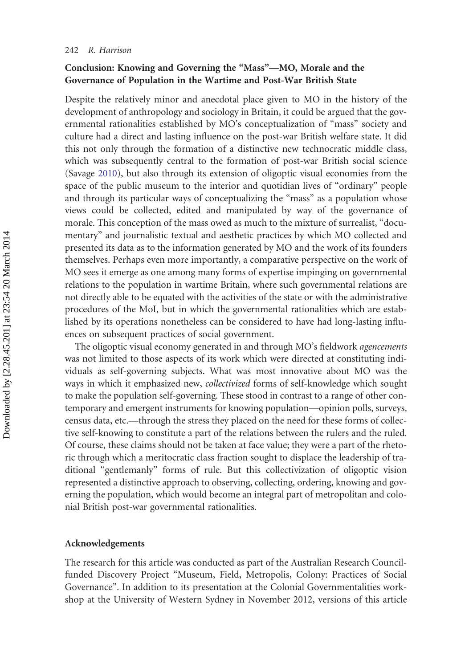#### Conclusion: Knowing and Governing the "Mass"—MO, Morale and the Governance of Population in the Wartime and Post-War British State

Despite the relatively minor and anecdotal place given to MO in the history of the development of anthropology and sociology in Britain, it could be argued that the governmental rationalities established by MO's conceptualization of "mass" society and culture had a direct and lasting influence on the post-war British welfare state. It did this not only through the formation of a distinctive new technocratic middle class, which was subsequently central to the formation of post-war British social science (Savage [2010](#page-20-0)), but also through its extension of oligoptic visual economies from the space of the public museum to the interior and quotidian lives of "ordinary" people and through its particular ways of conceptualizing the "mass" as a population whose views could be collected, edited and manipulated by way of the governance of morale. This conception of the mass owed as much to the mixture of surrealist, "documentary" and journalistic textual and aesthetic practices by which MO collected and presented its data as to the information generated by MO and the work of its founders themselves. Perhaps even more importantly, a comparative perspective on the work of MO sees it emerge as one among many forms of expertise impinging on governmental relations to the population in wartime Britain, where such governmental relations are not directly able to be equated with the activities of the state or with the administrative procedures of the MoI, but in which the governmental rationalities which are established by its operations nonetheless can be considered to have had long-lasting influences on subsequent practices of social government.

The oligoptic visual economy generated in and through MO's fieldwork agencements was not limited to those aspects of its work which were directed at constituting individuals as self-governing subjects. What was most innovative about MO was the ways in which it emphasized new, collectivized forms of self-knowledge which sought to make the population self-governing. These stood in contrast to a range of other contemporary and emergent instruments for knowing population—opinion polls, surveys, census data, etc.—through the stress they placed on the need for these forms of collective self-knowing to constitute a part of the relations between the rulers and the ruled. Of course, these claims should not be taken at face value; they were a part of the rhetoric through which a meritocratic class fraction sought to displace the leadership of traditional "gentlemanly" forms of rule. But this collectivization of oligoptic vision represented a distinctive approach to observing, collecting, ordering, knowing and governing the population, which would become an integral part of metropolitan and colonial British post-war governmental rationalities.

#### Acknowledgements

The research for this article was conducted as part of the Australian Research Councilfunded Discovery Project "Museum, Field, Metropolis, Colony: Practices of Social Governance". In addition to its presentation at the Colonial Governmentalities workshop at the University of Western Sydney in November 2012, versions of this article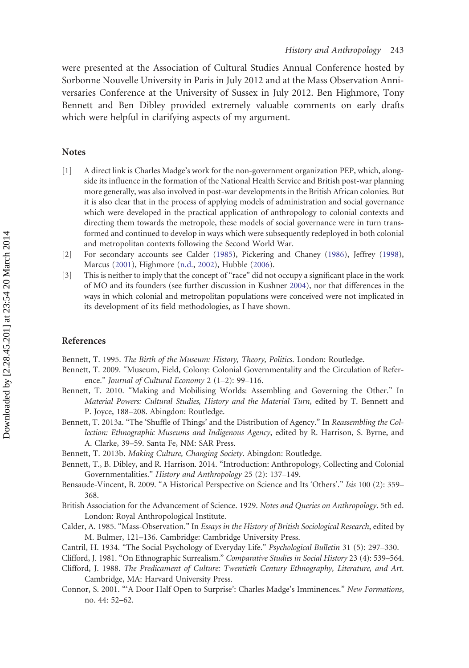<span id="page-18-0"></span>were presented at the Association of Cultural Studies Annual Conference hosted by Sorbonne Nouvelle University in Paris in July 2012 and at the Mass Observation Anniversaries Conference at the University of Sussex in July 2012. Ben Highmore, Tony Bennett and Ben Dibley provided extremely valuable comments on early drafts which were helpful in clarifying aspects of my argument.

#### **Notes**

- [1] A direct link is Charles Madge's work for the non-government organization PEP, which, alongside its influence in the formation of the National Health Service and British post-war planning more generally, was also involved in post-war developments in the British African colonies. But it is also clear that in the process of applying models of administration and social governance which were developed in the practical application of anthropology to colonial contexts and directing them towards the metropole, these models of social governance were in turn transformed and continued to develop in ways which were subsequently redeployed in both colonial and metropolitan contexts following the Second World War.
- [2] For secondary accounts see Calder (1985), Pickering and Chaney ([1986](#page-20-0)), Jeffrey [\(1998\)](#page-19-0), Marcus [\(2001](#page-20-0)), Highmore [\(n.d.](#page-19-0), [2002](#page-19-0)), Hubble [\(2006\)](#page-19-0).
- [3] This is neither to imply that the concept of "race" did not occupy a significant place in the work of MO and its founders (see further discussion in Kushner [2004](#page-19-0)), nor that differences in the ways in which colonial and metropolitan populations were conceived were not implicated in its development of its field methodologies, as I have shown.

#### References

Bennett, T. 1995. The Birth of the Museum: History, Theory, Politics. London: Routledge.

- Bennett, T. 2009. "Museum, Field, Colony: Colonial Governmentality and the Circulation of Reference." Journal of Cultural Economy 2 (1–2): 99–116.
- Bennett, T. 2010. "Making and Mobilising Worlds: Assembling and Governing the Other." In Material Powers: Cultural Studies, History and the Material Turn, edited by T. Bennett and P. Joyce, 188–208. Abingdon: Routledge.
- Bennett, T. 2013a. "The 'Shuffle of Things' and the Distribution of Agency." In Reassembling the Collection: Ethnographic Museums and Indigenous Agency, edited by R. Harrison, S. Byrne, and A. Clarke, 39–59. Santa Fe, NM: SAR Press.
- Bennett, T. 2013b. Making Culture, Changing Society. Abingdon: Routledge.
- Bennett, T., B. Dibley, and R. Harrison. 2014. "Introduction: Anthropology, Collecting and Colonial Governmentalities." History and Anthropology 25 (2): 137–149.
- Bensaude-Vincent, B. 2009. "A Historical Perspective on Science and Its 'Others'." Isis 100 (2): 359– 368.
- British Association for the Advancement of Science. 1929. Notes and Queries on Anthropology. 5th ed. London: Royal Anthropological Institute.
- Calder, A. 1985. "Mass-Observation." In Essays in the History of British Sociological Research, edited by M. Bulmer, 121–136. Cambridge: Cambridge University Press.
- Cantril, H. 1934. "The Social Psychology of Everyday Life." Psychological Bulletin 31 (5): 297–330.
- Clifford, J. 1981. "On Ethnographic Surrealism." Comparative Studies in Social History 23 (4): 539–564.
- Clifford, J. 1988. The Predicament of Culture: Twentieth Century Ethnography, Literature, and Art. Cambridge, MA: Harvard University Press.
- Connor, S. 2001. "'A Door Half Open to Surprise': Charles Madge's Imminences." New Formations, no. 44: 52–62.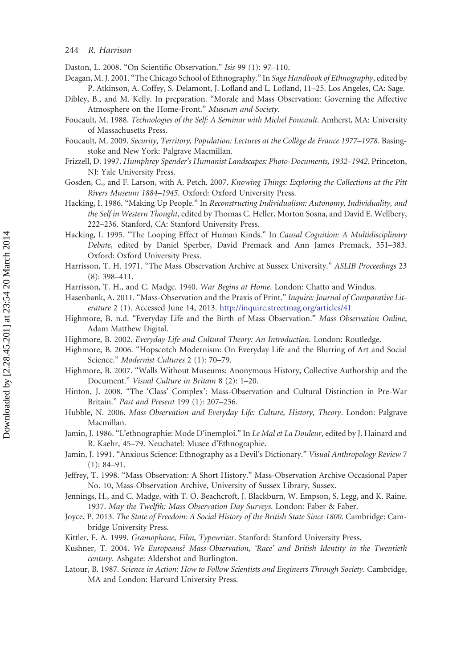<span id="page-19-0"></span>Daston, L. 2008. "On Scientific Observation." Isis 99 (1): 97–110.

- Deagan, M. J. 2001. "The Chicago School of Ethnography." In Sage Handbook of Ethnography, edited by P. Atkinson, A. Coffey, S. Delamont, J. Lofland and L. Lofland, 11–25. Los Angeles, CA: Sage.
- Dibley, B., and M. Kelly. In preparation. "Morale and Mass Observation: Governing the Affective Atmosphere on the Home-Front." Museum and Society.
- Foucault, M. 1988. Technologies of the Self: A Seminar with Michel Foucault. Amherst, MA: University of Massachusetts Press.
- Foucault, M. 2009. Security, Territory, Population: Lectures at the Collège de France 1977–1978. Basingstoke and New York: Palgrave Macmillan.
- Frizzell, D. 1997. Humphrey Spender's Humanist Landscapes: Photo-Documents, 1932–1942. Princeton, NJ: Yale University Press.
- Gosden, C., and F. Larson, with A. Petch. 2007. Knowing Things: Exploring the Collections at the Pitt Rivers Museum 1884–1945. Oxford: Oxford University Press.
- Hacking, I. 1986. "Making Up People." In Reconstructing Individualism: Autonomy, Individuality, and the Self in Western Thought, edited by Thomas C. Heller, Morton Sosna, and David E. Wellbery, 222–236. Stanford, CA: Stanford University Press.
- Hacking, I. 1995. "The Looping Effect of Human Kinds." In Causal Cognition: A Multidisciplinary Debate, edited by Daniel Sperber, David Premack and Ann James Premack, 351–383. Oxford: Oxford University Press.
- Harrisson, T. H. 1971. "The Mass Observation Archive at Sussex University." ASLIB Proceedings 23 (8): 398–411.
- Harrisson, T. H., and C. Madge. 1940. War Begins at Home. London: Chatto and Windus.
- Hasenbank, A. 2011. "Mass-Observation and the Praxis of Print." Inquire: Journal of Comparative Literature 2 (1). Accessed June 14, 2013. <http://inquire.streetmag.org/articles/41>
- Highmore, B. n.d. "Everyday Life and the Birth of Mass Observation." Mass Observation Online, Adam Matthew Digital.
- Highmore, B. 2002. Everyday Life and Cultural Theory: An Introduction. London: Routledge.
- Highmore, B. 2006. "Hopscotch Modernism: On Everyday Life and the Blurring of Art and Social Science." Modernist Cultures 2 (1): 70–79.
- Highmore, B. 2007. "Walls Without Museums: Anonymous History, Collective Authorship and the Document." Visual Culture in Britain 8 (2): 1–20.
- Hinton, J. 2008. "The 'Class' Complex': Mass-Observation and Cultural Distinction in Pre-War Britain." Past and Present 199 (1): 207–236.
- Hubble, N. 2006. Mass Observation and Everyday Life: Culture, History, Theory. London: Palgrave Macmillan.
- Jamin, J. 1986. "L'ethnographie: Mode D'inemploi." In Le Mal et La Douleur, edited by J. Hainard and R. Kaehr, 45–79. Neuchatel: Musee d'Ethnographie.
- Jamin, J. 1991. "Anxious Science: Ethnography as a Devil's Dictionary." Visual Anthropology Review 7 (1): 84–91.
- Jeffrey, T. 1998. "Mass Observation: A Short History." Mass-Observation Archive Occasional Paper No. 10, Mass-Observation Archive, University of Sussex Library, Sussex.
- Jennings, H., and C. Madge, with T. O. Beachcroft, J. Blackburn, W. Empson, S. Legg, and K. Raine. 1937. May the Twelfth: Mass Observation Day Surveys. London: Faber & Faber.
- Joyce, P. 2013. The State of Freedom: A Social History of the British State Since 1800. Cambridge: Cambridge University Press.
- Kittler, F. A. 1999. Gramophone, Film, Typewriter. Stanford: Stanford University Press.
- Kushner, T. 2004. We Europeans? Mass-Observation, 'Race' and British Identity in the Twentieth century. Ashgate: Aldershot and Burlington.
- Latour, B. 1987. Science in Action: How to Follow Scientists and Engineers Through Society. Cambridge, MA and London: Harvard University Press.